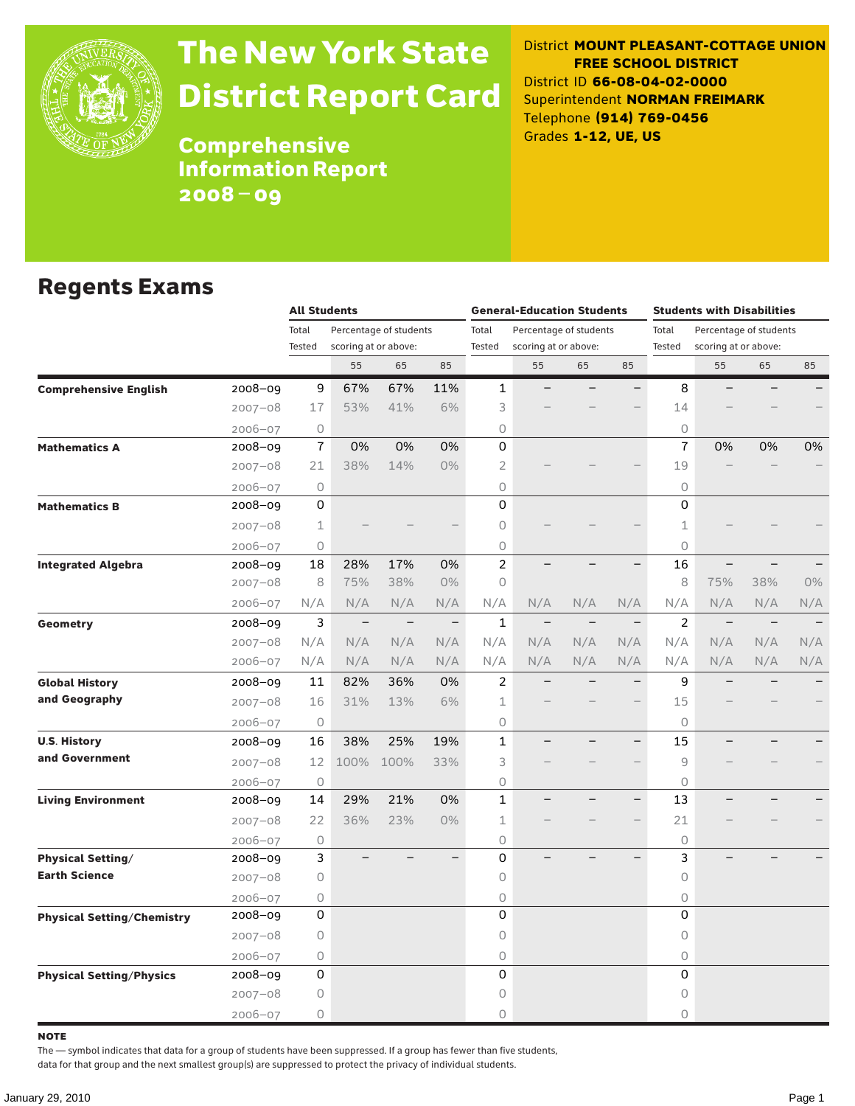

# The New York State District Report Card

District **MOUNT PLEASANT-COTTAGE UNION FREE SCHOOL DISTRICT** District ID **66-08-04-02-0000** Superintendent **NORMAN FREIMARK** Telephone **(914) 769-0456** Grades **1-12, UE, US**

**Comprehensive** Information Report 2008–09

### Regents Exams

|                                   |             | <b>All Students</b> |                      |                          |                                | <b>General-Education Students</b> |                        |                                |                          | <b>Students with Disabilities</b> |                          |                          |     |
|-----------------------------------|-------------|---------------------|----------------------|--------------------------|--------------------------------|-----------------------------------|------------------------|--------------------------------|--------------------------|-----------------------------------|--------------------------|--------------------------|-----|
|                                   |             | Total               |                      | Percentage of students   |                                | Total                             | Percentage of students |                                |                          | Total                             |                          | Percentage of students   |     |
|                                   |             | Tested              | scoring at or above: |                          | Tested<br>scoring at or above: |                                   |                        | Tested<br>scoring at or above: |                          |                                   |                          |                          |     |
|                                   |             |                     | 55                   | 65                       | 85                             |                                   | 55                     | 65                             | 85                       |                                   | 55                       | 65                       | 85  |
| <b>Comprehensive English</b>      | 2008-09     | 9                   | 67%                  | 67%                      | 11%                            | $\mathbf{1}$                      |                        |                                |                          | 8                                 |                          |                          |     |
|                                   | $2007 - 08$ | 17                  | 53%                  | 41%                      | 6%                             | 3                                 |                        |                                |                          | 14                                |                          |                          |     |
|                                   | $2006 - 07$ | 0                   |                      |                          |                                | 0                                 |                        |                                |                          | $\circ$                           |                          |                          |     |
| <b>Mathematics A</b>              | 2008-09     | $\overline{1}$      | 0%                   | 0%                       | 0%                             | 0                                 |                        |                                |                          | $\overline{1}$                    | 0%                       | 0%                       | 0%  |
|                                   | $2007 - 08$ | 21                  | 38%                  | 14%                      | $0\%$                          | $\overline{2}$                    |                        |                                |                          | 19                                |                          |                          |     |
|                                   | $2006 - 07$ | 0                   |                      |                          |                                | 0                                 |                        |                                |                          | $\circ$                           |                          |                          |     |
| <b>Mathematics B</b>              | 2008-09     | 0                   |                      |                          |                                | 0                                 |                        |                                |                          | $\Omega$                          |                          |                          |     |
|                                   | $2007 - 08$ | $\mathbf 1$         |                      |                          |                                | 0                                 |                        |                                |                          | 1                                 |                          |                          |     |
|                                   | $2006 - 07$ | 0                   |                      |                          |                                | 0                                 |                        |                                |                          | 0                                 |                          |                          |     |
| <b>Integrated Algebra</b>         | 2008-09     | 18                  | 28%                  | 17%                      | 0%                             | $\overline{c}$                    |                        |                                |                          | 16                                |                          |                          |     |
|                                   | $2007 - 08$ | 8                   | 75%                  | 38%                      | $0\%$                          | 0                                 |                        |                                |                          | 8                                 | 75%                      | 38%                      | 0%  |
|                                   | $2006 - 07$ | N/A                 | N/A                  | N/A                      | N/A                            | N/A                               | N/A                    | N/A                            | N/A                      | N/A                               | N/A                      | N/A                      | N/A |
| Geometry                          | 2008-09     | 3                   | $\qquad \qquad -$    | $\overline{\phantom{m}}$ | $\!-$                          | $\mathbf{1}$                      | $\qquad \qquad -$      | $\qquad \qquad -$              | $\overline{\phantom{m}}$ | $\overline{2}$                    | $\overline{\phantom{m}}$ | $\overline{\phantom{m}}$ |     |
|                                   | $2007 - 08$ | N/A                 | N/A                  | N/A                      | N/A                            | N/A                               | N/A                    | N/A                            | N/A                      | N/A                               | N/A                      | N/A                      | N/A |
|                                   | $2006 - 07$ | N/A                 | N/A                  | N/A                      | N/A                            | N/A                               | N/A                    | N/A                            | N/A                      | N/A                               | N/A                      | N/A                      | N/A |
| <b>Global History</b>             | 2008-09     | 11                  | 82%                  | 36%                      | 0%                             | $\overline{c}$                    |                        |                                | $\overline{\phantom{0}}$ | 9                                 |                          |                          |     |
| and Geography                     | $2007 - 08$ | 16                  | 31%                  | 13%                      | 6%                             | 1                                 |                        |                                |                          | 15                                |                          |                          |     |
|                                   | $2006 - 07$ | 0                   |                      |                          |                                | 0                                 |                        |                                |                          | $\circ$                           |                          |                          |     |
| <b>U.S. History</b>               | 2008-09     | 16                  | 38%                  | 25%                      | 19%                            | $\mathbf{1}$                      |                        |                                |                          | 15                                |                          |                          |     |
| and Government                    | $2007 - 08$ | 12                  | 100%                 | 100%                     | 33%                            | 3                                 |                        |                                |                          | 9                                 |                          |                          |     |
|                                   | $2006 - 07$ | 0                   |                      |                          |                                | 0                                 |                        |                                |                          | $\circ$                           |                          |                          |     |
| <b>Living Environment</b>         | 2008-09     | 14                  | 29%                  | 21%                      | 0%                             | 1                                 |                        |                                |                          | 13                                |                          |                          |     |
|                                   | $2007 - 08$ | 22                  | 36%                  | 23%                      | $0\%$                          | 1                                 |                        |                                |                          | 21                                |                          |                          |     |
|                                   | $2006 - 07$ | 0                   |                      |                          |                                | 0                                 |                        |                                |                          | $\circ$                           |                          |                          |     |
| <b>Physical Setting/</b>          | 2008-09     | 3                   |                      |                          |                                | 0                                 |                        |                                |                          | 3                                 |                          |                          |     |
| <b>Earth Science</b>              | $2007 - 08$ | 0                   |                      |                          |                                | 0                                 |                        |                                |                          | 0                                 |                          |                          |     |
|                                   | $2006 - 07$ | 0                   |                      |                          |                                | 0                                 |                        |                                |                          | $\circ$                           |                          |                          |     |
| <b>Physical Setting/Chemistry</b> | 2008-09     | 0                   |                      |                          |                                | 0                                 |                        |                                |                          | 0                                 |                          |                          |     |
|                                   | $2007 - 08$ | 0                   |                      |                          |                                | 0                                 |                        |                                |                          | $\circ$                           |                          |                          |     |
|                                   | $2006 - 07$ | 0                   |                      |                          |                                | 0                                 |                        |                                |                          | $\circ$                           |                          |                          |     |
| <b>Physical Setting/Physics</b>   | 2008-09     | 0                   |                      |                          |                                | 0                                 |                        |                                |                          | 0                                 |                          |                          |     |
|                                   | $2007 - 08$ | 0                   |                      |                          |                                | 0                                 |                        |                                |                          | $\circ$                           |                          |                          |     |
|                                   | $2006 - 07$ | 0                   |                      |                          |                                | 0                                 |                        |                                |                          | $\Omega$                          |                          |                          |     |

note

The — symbol indicates that data for a group of students have been suppressed. If a group has fewer than five students,

data for that group and the next smallest group(s) are suppressed to protect the privacy of individual students.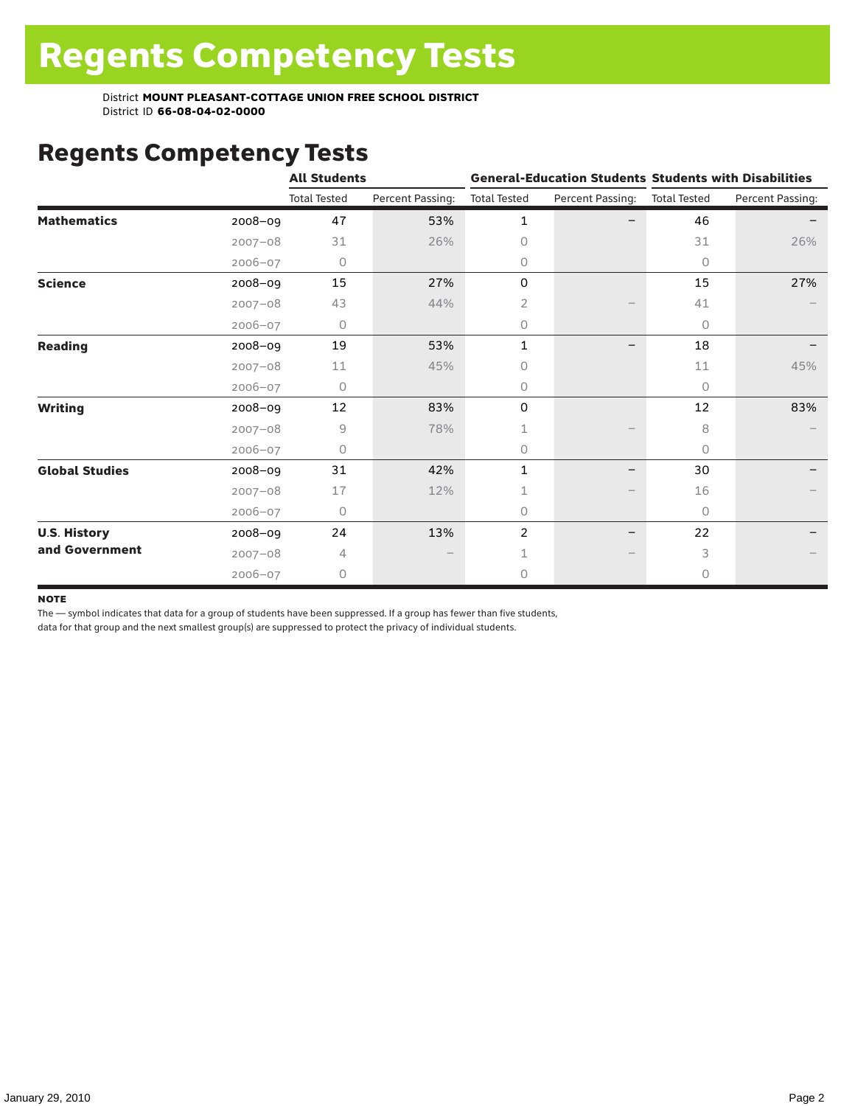District **MOUNT PLEASANT-COTTAGE UNION FREE SCHOOL DISTRICT** District ID **66-08-04-02-0000**

# Regents Competency Tests

|                       |             | <b>All Students</b> |                  |                     |                  | <b>General-Education Students Students with Disabilities</b> |                  |  |
|-----------------------|-------------|---------------------|------------------|---------------------|------------------|--------------------------------------------------------------|------------------|--|
|                       |             | <b>Total Tested</b> | Percent Passing: | <b>Total Tested</b> | Percent Passing: | <b>Total Tested</b>                                          | Percent Passing: |  |
| <b>Mathematics</b>    | 2008-09     | 47                  | 53%              | 1                   |                  | 46                                                           |                  |  |
|                       | $2007 - 08$ | 31                  | 26%              | $\Omega$            |                  | 31                                                           | 26%              |  |
|                       | $2006 - 07$ | 0                   |                  | 0                   |                  | $\circ$                                                      |                  |  |
| <b>Science</b>        | 2008-09     | 15                  | 27%              | $\mathsf{O}$        |                  | 15                                                           | 27%              |  |
|                       | $2007 - 08$ | 43                  | 44%              | 2                   |                  | 41                                                           |                  |  |
|                       | $2006 - 07$ | 0                   |                  | 0                   |                  | $\circ$                                                      |                  |  |
| <b>Reading</b>        | 2008-09     | 19                  | 53%              | 1                   |                  | 18                                                           |                  |  |
|                       | $2007 - 08$ | 11                  | 45%              | $\Omega$            |                  | 11                                                           | 45%              |  |
|                       | $2006 - 07$ | 0                   |                  | $\circ$             |                  | $\Omega$                                                     |                  |  |
| <b>Writing</b>        | 2008-09     | 12                  | 83%              | 0                   |                  | 12                                                           | 83%              |  |
|                       | $2007 - 08$ | 9                   | 78%              | 1                   |                  | 8                                                            |                  |  |
|                       | $2006 - 07$ | 0                   |                  | 0                   |                  | 0                                                            |                  |  |
| <b>Global Studies</b> | 2008-09     | 31                  | 42%              | 1                   |                  | 30                                                           |                  |  |
|                       | $2007 - 08$ | 17                  | 12%              |                     |                  | 16                                                           |                  |  |
|                       | $2006 - 07$ | 0                   |                  | 0                   |                  | $\circ$                                                      |                  |  |
| <b>U.S. History</b>   | 2008-09     | 24                  | 13%              | $\overline{2}$      |                  | 22                                                           |                  |  |
| and Government        | $2007 - 08$ | 4                   |                  |                     |                  | 3                                                            |                  |  |
|                       | $2006 - 07$ | 0                   |                  | $\circ$             |                  | 0                                                            |                  |  |

#### note

The — symbol indicates that data for a group of students have been suppressed. If a group has fewer than five students,

data for that group and the next smallest group(s) are suppressed to protect the privacy of individual students.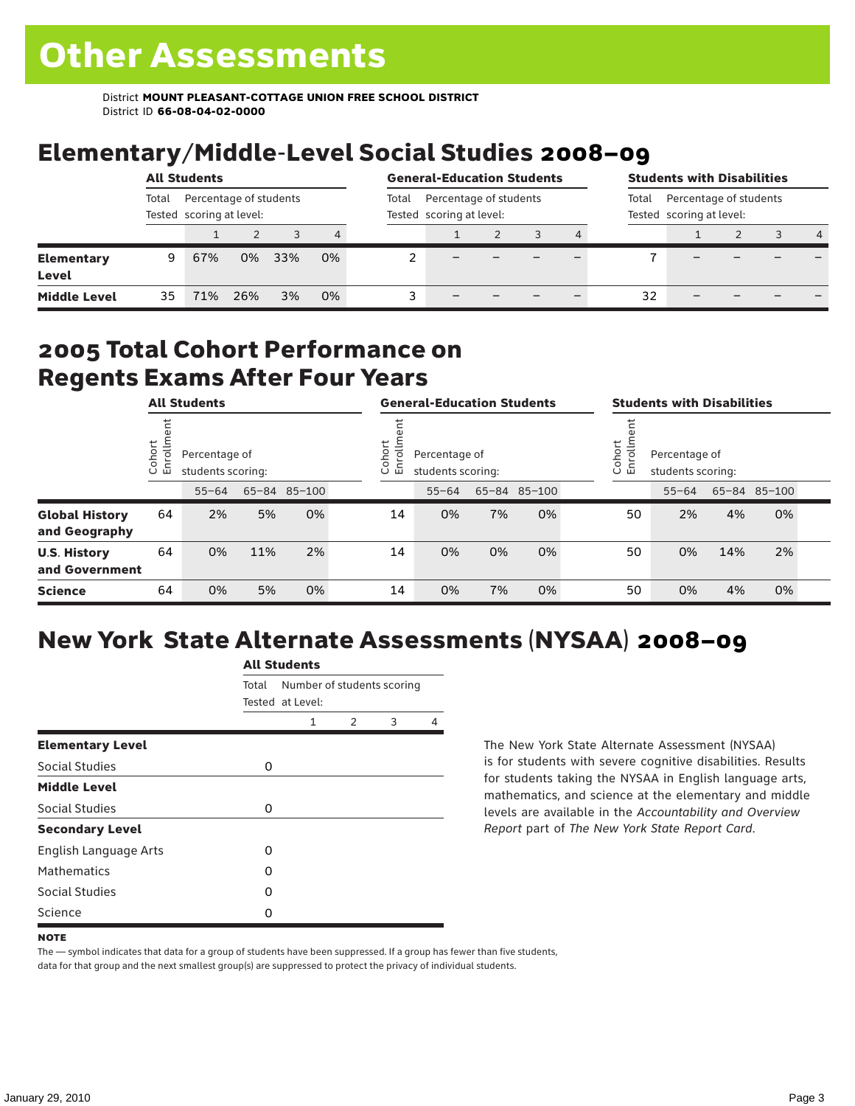District **MOUNT PLEASANT-COTTAGE UNION FREE SCHOOL DISTRICT** District ID **66-08-04-02-0000**

# Elementary/Middle-Level Social Studies 2008–09

|                                   | <b>All Students</b>                                         |     |     |     |       |                                                    | <b>General-Education Students</b> |  |  |       |                                                    | <b>Students with Disabilities</b> |  |  |                |  |
|-----------------------------------|-------------------------------------------------------------|-----|-----|-----|-------|----------------------------------------------------|-----------------------------------|--|--|-------|----------------------------------------------------|-----------------------------------|--|--|----------------|--|
|                                   | Percentage of students<br>Total<br>Tested scoring at level: |     |     |     | Total | Percentage of students<br>Tested scoring at level: |                                   |  |  | Total | Percentage of students<br>Tested scoring at level: |                                   |  |  |                |  |
|                                   |                                                             |     |     |     | 4     |                                                    |                                   |  |  | 4     |                                                    |                                   |  |  | $\overline{4}$ |  |
| <b>Elementary</b><br><b>Level</b> | 9                                                           | 67% | 0%  | 33% | 0%    |                                                    |                                   |  |  |       |                                                    |                                   |  |  |                |  |
| <b>Middle Level</b>               | 35                                                          | 71% | 26% | 3%  | 0%    |                                                    |                                   |  |  |       | 32                                                 |                                   |  |  |                |  |

### 2005 Total Cohort Performance on Regents Exams After Four Years

|                                        | <b>All Students</b>                                     |           |     |              |        | <b>General-Education Students</b>                  |           |    |              | <b>Students with Disabilities</b>                            |    |           |     |              |  |
|----------------------------------------|---------------------------------------------------------|-----------|-----|--------------|--------|----------------------------------------------------|-----------|----|--------------|--------------------------------------------------------------|----|-----------|-----|--------------|--|
|                                        | Cohort<br>Enrollm<br>Percentage of<br>students scoring: |           |     |              | Cohort | Ξ<br>Percentage of<br>ò,<br>모<br>students scoring: |           |    |              | Cohort<br>Percentage of<br>$\circ$<br>문<br>students scoring: |    |           |     |              |  |
|                                        |                                                         | $55 - 64$ |     | 65-84 85-100 |        |                                                    | $55 - 64$ |    | 65-84 85-100 |                                                              |    | $55 - 64$ |     | 65-84 85-100 |  |
| <b>Global History</b><br>and Geography | 64                                                      | 2%        | 5%  | 0%           |        | 14                                                 | 0%        | 7% | 0%           |                                                              | 50 | 2%        | 4%  | 0%           |  |
| <b>U.S. History</b><br>and Government  | 64                                                      | 0%        | 11% | 2%           |        | 14                                                 | 0%        | 0% | 0%           |                                                              | 50 | 0%        | 14% | 2%           |  |
| <b>Science</b>                         | 64                                                      | 0%        | 5%  | 0%           |        | 14                                                 | 0%        | 7% | 0%           |                                                              | 50 | 0%        | 4%  | 0%           |  |

# New York State Alternate Assessments (NYSAA) 2008–09

|                              |       | <b>All Students</b>                            |               |   |   |  |  |  |  |  |  |
|------------------------------|-------|------------------------------------------------|---------------|---|---|--|--|--|--|--|--|
|                              | Total | Number of students scoring<br>Tested at Level: |               |   |   |  |  |  |  |  |  |
|                              |       | 1                                              | $\mathcal{P}$ | 3 | 4 |  |  |  |  |  |  |
| <b>Elementary Level</b>      |       |                                                |               |   |   |  |  |  |  |  |  |
| Social Studies               | 0     |                                                |               |   |   |  |  |  |  |  |  |
| <b>Middle Level</b>          |       |                                                |               |   |   |  |  |  |  |  |  |
| Social Studies               | 0     |                                                |               |   |   |  |  |  |  |  |  |
| <b>Secondary Level</b>       |       |                                                |               |   |   |  |  |  |  |  |  |
| <b>English Language Arts</b> | O     |                                                |               |   |   |  |  |  |  |  |  |
| <b>Mathematics</b>           | Ω     |                                                |               |   |   |  |  |  |  |  |  |
| Social Studies               | O     |                                                |               |   |   |  |  |  |  |  |  |
| Science                      | Ω     |                                                |               |   |   |  |  |  |  |  |  |

The New York State Alternate Assessment (NYSAA) is for students with severe cognitive disabilities. Results for students taking the NYSAA in English language arts, mathematics, and science at the elementary and middle levels are available in the *Accountability and Overview Report* part of *The New York State Report Card*.

The — symbol indicates that data for a group of students have been suppressed. If a group has fewer than five students, data for that group and the next smallest group(s) are suppressed to protect the privacy of individual students.

**NOTE**